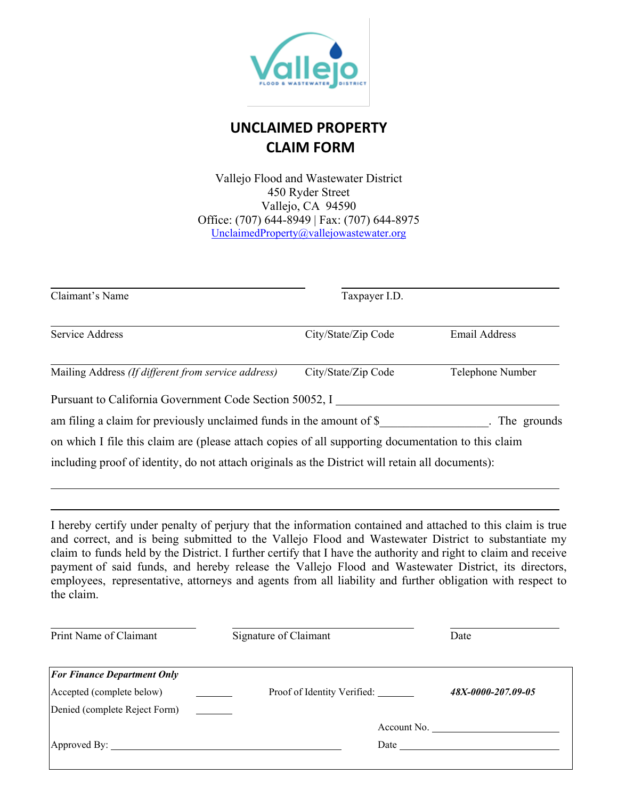

## **UNCLAIMED PROPERTY CLAIM FORM**

Vallejo Flood and Wastewater District 450 Ryder Street Vallejo, CA 94590 Office: (707) 644-8949 | Fax: (707) 644-8975 UnclaimedProperty@vallejowastewater.org

| Claimant's Name                                                                                    | Taxpayer I.D.       |                      |
|----------------------------------------------------------------------------------------------------|---------------------|----------------------|
| Service Address                                                                                    | City/State/Zip Code | <b>Email Address</b> |
| Mailing Address (If different from service address)                                                | City/State/Zip Code | Telephone Number     |
| Pursuant to California Government Code Section 50052, I                                            |                     |                      |
| am filing a claim for previously unclaimed funds in the amount of \$<br>. The grounds              |                     |                      |
| on which I file this claim are (please attach copies of all supporting documentation to this claim |                     |                      |
| including proof of identity, do not attach originals as the District will retain all documents):   |                     |                      |
|                                                                                                    |                     |                      |

I hereby certify under penalty of perjury that the information contained and attached to this claim is true and correct, and is being submitted to the Vallejo Flood and Wastewater District to substantiate my claim to funds held by the District. I further certify that I have the authority and right to claim and receive payment of said funds, and hereby release the Vallejo Flood and Wastewater District, its directors, employees, representative, attorneys and agents from all liability and further obligation with respect to the claim.

| Print Name of Claimant             | Signature of Claimant       | Date               |
|------------------------------------|-----------------------------|--------------------|
| <b>For Finance Department Only</b> |                             |                    |
| Accepted (complete below)          | Proof of Identity Verified: | 48X-0000-207.09-05 |
| Denied (complete Reject Form)      |                             |                    |
|                                    |                             | Account No.        |
|                                    |                             |                    |
|                                    |                             |                    |